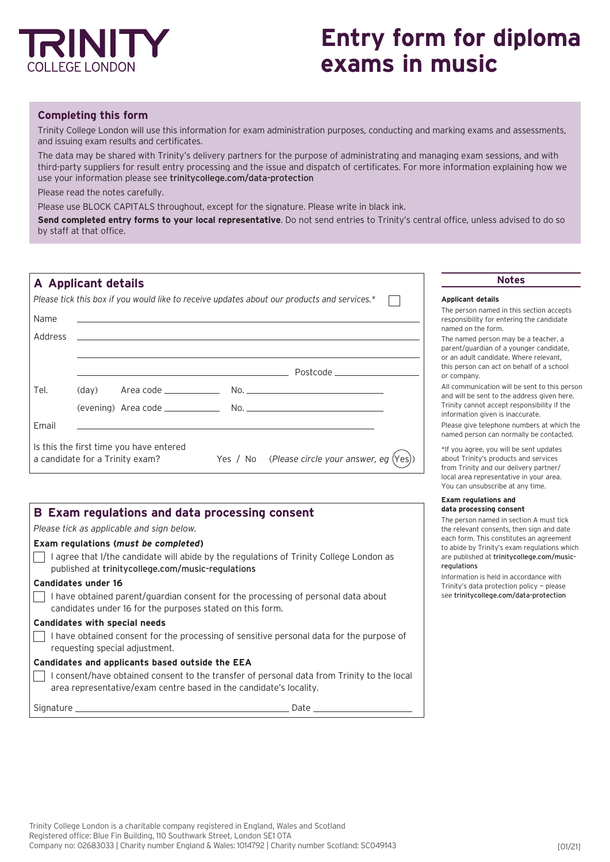

# **Entry form for diploma exams in music**

## **Completing this form**

Trinity College London will use this information for exam administration purposes, conducting and marking exams and assessments, and issuing exam results and certificates.

The data may be shared with Trinity's delivery partners for the purpose of administrating and managing exam sessions, and with third-party suppliers for result entry processing and the issue and dispatch of certificates. For more information explaining how we use your information please see [trinitycollege.com/data-protection](http://trinitycollege.com/data-protection)

Please read the notes carefully.

Г

Г

Please use BLOCK CAPITALS throughout, except for the signature. Please write in black ink.

**Send completed entry forms to your local representative**. Do not send entries to Trinity's central office, unless advised to do so by staff at that office.

|         | A Applicant details                                                                                                             | <b>Notes</b>                                                                               |
|---------|---------------------------------------------------------------------------------------------------------------------------------|--------------------------------------------------------------------------------------------|
|         | Please tick this box if you would like to receive updates about our products and services.*                                     | <b>Applicant details</b>                                                                   |
| Name    | ,我们也不能在这里的时候,我们也不能在这里的时候,我们也不能会在这里的时候,我们也不能会在这里的时候,我们也不能会在这里的时候,我们也不能会在这里的时候,我们也                                                | The person named in this<br>responsibility for entering<br>named on the form.              |
| Address | <u> 1989 - John Stone, Amerikaansk politiker (* 1989)</u>                                                                       | The named person may be<br>parent/guardian of a youn<br>or an adult candidate. Whe         |
|         | Postcode ____________________                                                                                                   | this person can act on beh<br>or company.                                                  |
| Tel.    |                                                                                                                                 | All communication will be<br>and will be sent to the add                                   |
|         |                                                                                                                                 | Trinity cannot accept resp<br>information given is inaccu                                  |
| Email   |                                                                                                                                 | Please give telephone num<br>named person can normal                                       |
|         | Is this the first time you have entered<br>Yes / No (Please circle your answer, eg $(Yes)$ )<br>a candidate for a Trinity exam? | *If you agree, you will be s<br>about Trinity's products ar<br>from Trinity and our delive |

# **B Exam regulations and data processing consent** *Please tick as applicable and sign below.*  **Exam regulations (***must be completed***)** I agree that I/the candidate will abide by the regulations of Trinity College London as published at [trinitycollege.com/music-regulations](http://trinitycollege.com/music-regulations) **Candidates under 16**  $\overline{\phantom{x}}$  I have obtained parent/guardian consent for the processing of personal data about candidates under 16 for the purposes stated on this form. **Candidates with special needs**  $\Box$  I have obtained consent for the processing of sensitive personal data for the purpose of requesting special adjustment. **Candidates and applicants based outside the EEA** I consent/have obtained consent to the transfer of personal data from Trinity to the local area representative/exam centre based in the candidate's locality. Signature Date

#### **Applicant details**

ed in this section accepts entering the candidate rm.

on may be a teacher, a of a younger candidate. or an adult can also identity that the interest of the candidate in the candidate in the usual the candidate i act on behalf of a school

on will be sent to this person to the address given here. cept responsibility if the n is inaccurate.

hone numbers at which the an normally be contacted.

u will be sent updates roducts and services our delivery partner/ local area representative in your area. You can unsubscribe at any time.

#### **Exam regulations and data processing consent**

The person named in section A must tick the relevant consents, then sign and date each form. This constitutes an agreement to abide by Trinity's exam regulations which are published at [trinitycollege.com/music](http://trinitycollege.com/data-protection)[regulations](http://trinitycollege.com/data-protection)

Information is held in accordance with Trinity's data protection policy — please see [trinitycollege.com/data-protection](http://trinitycollege.com/data-protection)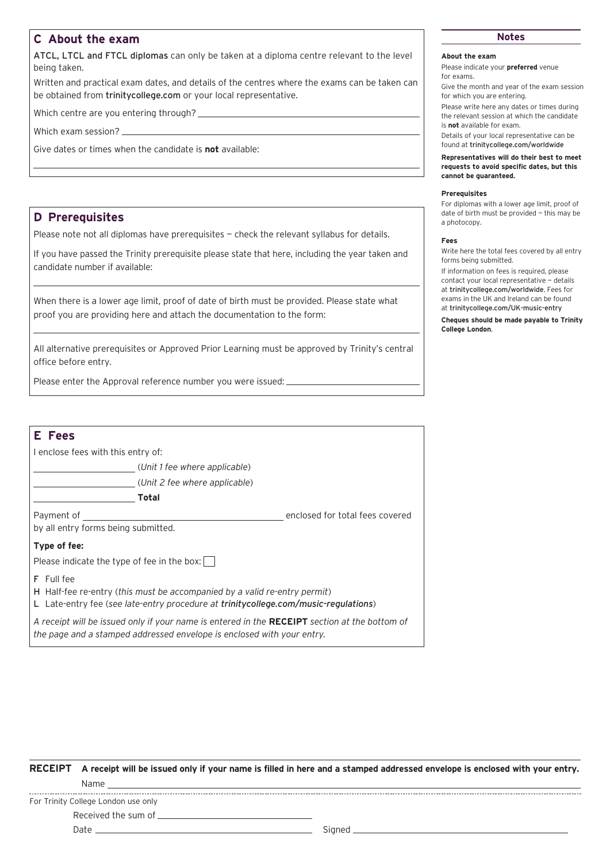# **C About the exam**

ATCL, LTCL and FTCL diplomas can only be taken at a diploma centre relevant to the level being taken.

Written and practical exam dates, and details of the centres where the exams can be taken can be obtained from [trinitycollege.com](http://trinitycollege.com) or your local representative.

Which centre are you entering through?

Which exam session?

Give dates or times when the candidate is **not** available:

### **D Prerequisites**

Please note not all diplomas have prerequisites - check the relevant syllabus for details.

If you have passed the Trinity prerequisite please state that here, including the year taken and candidate number if available:

When there is a lower age limit, proof of date of birth must be provided. Please state what proof you are providing here and attach the documentation to the form:

All alternative prerequisites or Approved Prior Learning must be approved by Trinity's central office before entry.

Please enter the Approval reference number you were issued:

| E Fees                                                                                                                                                                         |                                 |  |  |  |  |  |
|--------------------------------------------------------------------------------------------------------------------------------------------------------------------------------|---------------------------------|--|--|--|--|--|
| I enclose fees with this entry of:                                                                                                                                             |                                 |  |  |  |  |  |
| (Unit 1 fee where applicable)                                                                                                                                                  |                                 |  |  |  |  |  |
| (Unit 2 fee where applicable)                                                                                                                                                  |                                 |  |  |  |  |  |
| Total                                                                                                                                                                          |                                 |  |  |  |  |  |
| Payment of                                                                                                                                                                     | enclosed for total fees covered |  |  |  |  |  |
| by all entry forms being submitted.                                                                                                                                            |                                 |  |  |  |  |  |
| Type of fee:                                                                                                                                                                   |                                 |  |  |  |  |  |
| Please indicate the type of fee in the box:                                                                                                                                    |                                 |  |  |  |  |  |
| F Full fee<br>H Half-fee re-entry (this must be accompanied by a valid re-entry permit)<br>L Late-entry fee (see late-entry procedure at trinitycollege.com/music-regulations) |                                 |  |  |  |  |  |
| A receipt will be issued only if your name is entered in the RECEIPT section at the bottom of<br>the page and a stamped addressed envelope is enclosed with your entry.        |                                 |  |  |  |  |  |
|                                                                                                                                                                                |                                 |  |  |  |  |  |

# **Notes**

#### **About the exam**

Please indicate your **preferred** venue for exams.

Give the month and year of the exam session for which you are entering.

Please write here any dates or times during the relevant session at which the candidate is **not** available for exam.

Details of your local representative can be found at [trinitycollege.com/worldwide](http://trinitycollege.com/worldwide)

**Representatives will do their best to meet requests to avoid specific dates, but this cannot be guaranteed.** 

#### **Prerequisites**

For diplomas with a lower age limit, proof of date of birth must be provided — this may be a photocopy.

#### **Fees**

Write here the total fees covered by all entry forms being submitted.

If information on fees is required, please contact your local representative — details at [trinitycollege.com/worldwide](http://trinitycollege.com/worldwide). Fees for exams in the UK and Ireland can be found at [trinitycollege.com/UK-music-entry](http://trinitycollege.com/UK-music-entry)

**Cheques should be made payable to Trinity College London**.

**RECEIPT A receipt will be issued only if your name is filled in here and a stamped addressed envelope is enclosed with your entry.** Name

For Trinity College London use only

Received the sum of

Date Signed